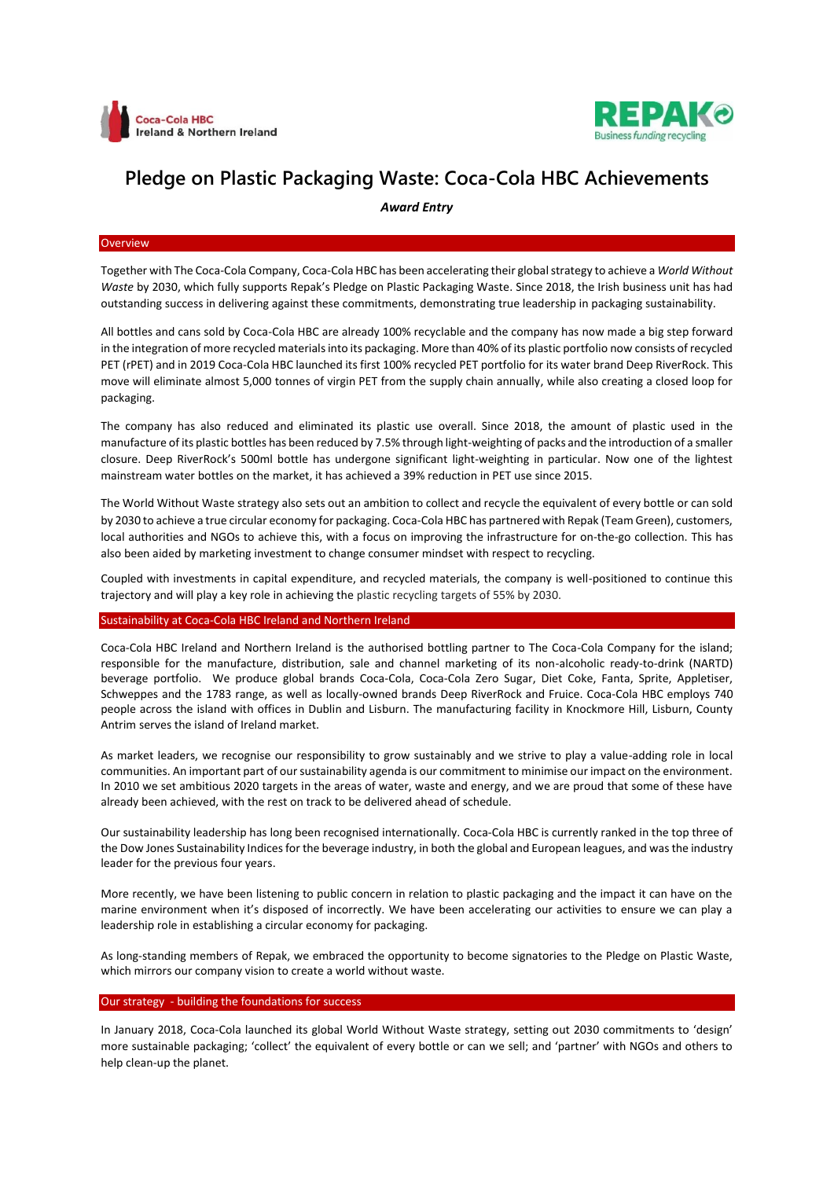



# **Pledge on Plastic Packaging Waste: Coca-Cola HBC Achievements**

*Award Entry*

#### **Overview**

Together with The Coca-Cola Company, Coca-Cola HBC has been accelerating their global strategy to achieve a *World Without Waste* by 2030, which fully supports Repak's Pledge on Plastic Packaging Waste. Since 2018, the Irish business unit has had outstanding success in delivering against these commitments, demonstrating true leadership in packaging sustainability.

All bottles and cans sold by Coca-Cola HBC are already 100% recyclable and the company has now made a big step forward in the integration of more recycled materials into its packaging. More than 40% of its plastic portfolio now consists of recycled PET (rPET) and in 2019 Coca-Cola HBC launched its first 100% recycled PET portfolio for its water brand Deep RiverRock. This move will eliminate almost 5,000 tonnes of virgin PET from the supply chain annually, while also creating a closed loop for packaging.

The company has also reduced and eliminated its plastic use overall. Since 2018, the amount of plastic used in the manufacture of its plastic bottles has been reduced by 7.5% through light-weighting of packs and the introduction of a smaller closure. Deep RiverRock's 500ml bottle has undergone significant light-weighting in particular. Now one of the lightest mainstream water bottles on the market, it has achieved a 39% reduction in PET use since 2015.

The World Without Waste strategy also sets out an ambition to collect and recycle the equivalent of every bottle or can sold by 2030 to achieve a true circular economy for packaging. Coca-Cola HBC has partnered with Repak (Team Green), customers, local authorities and NGOs to achieve this, with a focus on improving the infrastructure for on-the-go collection. This has also been aided by marketing investment to change consumer mindset with respect to recycling.

Coupled with investments in capital expenditure, and recycled materials, the company is well-positioned to continue this trajectory and will play a key role in achieving the plastic recycling targets of 55% by 2030.

### Sustainability at Coca-Cola HBC Ireland and Northern Ireland

Coca-Cola HBC Ireland and Northern Ireland is the authorised bottling partner to The Coca-Cola Company for the island; responsible for the manufacture, distribution, sale and channel marketing of its non-alcoholic ready-to-drink (NARTD) beverage portfolio. We produce global brands Coca-Cola, Coca-Cola Zero Sugar, Diet Coke, Fanta, Sprite, Appletiser, Schweppes and the 1783 range, as well as locally-owned brands Deep RiverRock and Fruice. Coca-Cola HBC employs 740 people across the island with offices in Dublin and Lisburn. The manufacturing facility in Knockmore Hill, Lisburn, County Antrim serves the island of Ireland market.

As market leaders, we recognise our responsibility to grow sustainably and we strive to play a value-adding role in local communities. An important part of our sustainability agenda is our commitment to minimise our impact on the environment. In 2010 we set ambitious 2020 targets in the areas of water, waste and energy, and we are proud that some of these have already been achieved, with the rest on track to be delivered ahead of schedule.

Our sustainability leadership has long been recognised internationally. Coca-Cola HBC is currently ranked in the top three of the Dow Jones Sustainability Indices for the beverage industry, in both the global and European leagues, and wasthe industry leader for the previous four years.

More recently, we have been listening to public concern in relation to plastic packaging and the impact it can have on the marine environment when it's disposed of incorrectly. We have been accelerating our activities to ensure we can play a leadership role in establishing a circular economy for packaging.

As long-standing members of Repak, we embraced the opportunity to become signatories to the Pledge on Plastic Waste, which mirrors our company vision to create a world without waste.

## Our strategy - building the foundations for success

In January 2018, Coca-Cola launched its global World Without Waste strategy, setting out 2030 commitments to 'design' more sustainable packaging; 'collect' the equivalent of every bottle or can we sell; and 'partner' with NGOs and others to help clean-up the planet.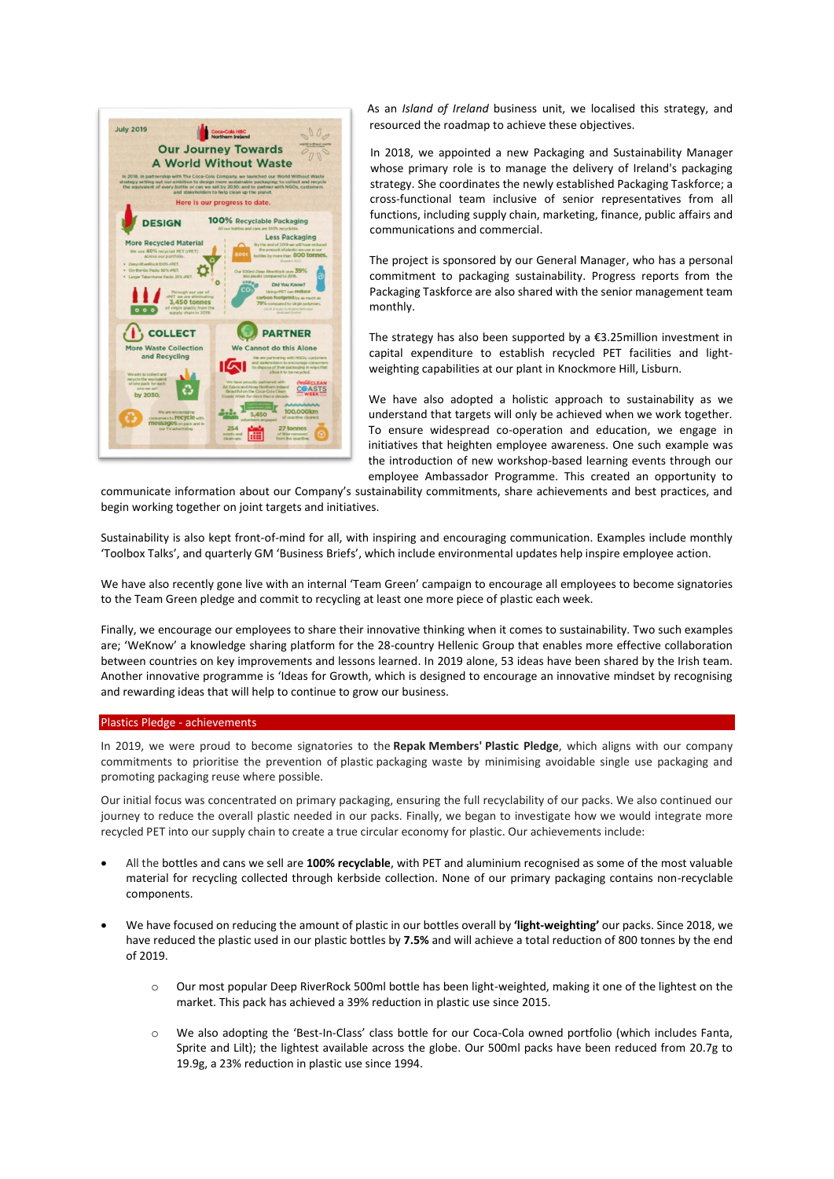

As an *Island of Ireland* business unit, we localised this strategy, and resourced the roadmap to achieve these objectives.

In 2018, we appointed a new Packaging and Sustainability Manager whose primary role is to manage the delivery of Ireland's packaging strategy. She coordinates the newly established Packaging Taskforce; a cross-functional team inclusive of senior representatives from all functions, including supply chain, marketing, finance, public affairs and communications and commercial.

The project is sponsored by our General Manager, who has a personal commitment to packaging sustainability. Progress reports from the Packaging Taskforce are also shared with the senior management team monthly.

The strategy has also been supported by a  $£3.25$ million investment in capital expenditure to establish recycled PET facilities and lightweighting capabilities at our plant in Knockmore Hill, Lisburn.

We have also adopted a holistic approach to sustainability as we understand that targets will only be achieved when we work together. To ensure widespread co-operation and education, we engage in initiatives that heighten employee awareness. One such example was the introduction of new workshop-based learning events through our employee Ambassador Programme. This created an opportunity to

communicate information about our Company's sustainability commitments, share achievements and best practices, and begin working together on joint targets and initiatives.

Sustainability is also kept front-of-mind for all, with inspiring and encouraging communication. Examples include monthly 'Toolbox Talks', and quarterly GM 'Business Briefs', which include environmental updates help inspire employee action.

We have also recently gone live with an internal 'Team Green' campaign to encourage all employees to become signatories to the Team Green pledge and commit to recycling at least one more piece of plastic each week.

Finally, we encourage our employees to share their innovative thinking when it comes to sustainability. Two such examples are; 'WeKnow' a knowledge sharing platform for the 28-country Hellenic Group that enables more effective collaboration between countries on key improvements and lessons learned. In 2019 alone, 53 ideas have been shared by the Irish team. Another innovative programme is 'Ideas for Growth, which is designed to encourage an innovative mindset by recognising and rewarding ideas that will help to continue to grow our business.

### Plastics Pledge - achievements

In 2019, we were proud to become signatories to the **Repak Members' Plastic Pledge**, which aligns with our company commitments to prioritise the prevention of plastic packaging waste by minimising avoidable single use packaging and promoting packaging reuse where possible.

Our initial focus was concentrated on primary packaging, ensuring the full recyclability of our packs. We also continued our journey to reduce the overall plastic needed in our packs. Finally, we began to investigate how we would integrate more recycled PET into our supply chain to create a true circular economy for plastic. Our achievements include:

- All the bottles and cans we sell are **100% recyclable**, with PET and aluminium recognised as some of the most valuable material for recycling collected through kerbside collection. None of our primary packaging contains non-recyclable components.
- We have focused on reducing the amount of plastic in our bottles overall by **'light-weighting'** our packs. Since 2018, we have reduced the plastic used in our plastic bottles by **7.5%** and will achieve a total reduction of 800 tonnes by the end of 2019.
	- o Our most popular Deep RiverRock 500ml bottle has been light-weighted, making it one of the lightest on the market. This pack has achieved a 39% reduction in plastic use since 2015.
	- o We also adopting the 'Best-In-Class' class bottle for our Coca-Cola owned portfolio (which includes Fanta, Sprite and Lilt); the lightest available across the globe. Our 500ml packs have been reduced from 20.7g to 19.9g, a 23% reduction in plastic use since 1994.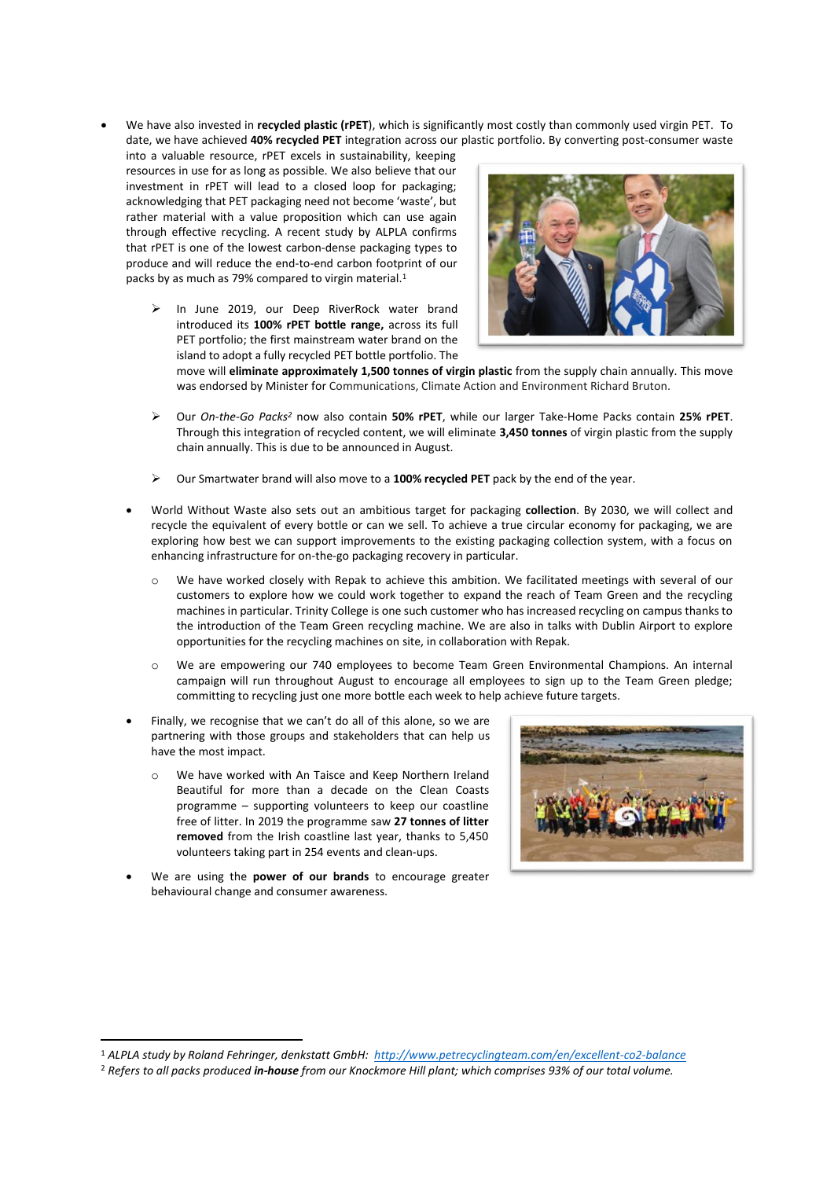We have also invested in **recycled plastic (rPET**), which is significantly most costly than commonly used virgin PET. To date, we have achieved **40% recycled PET** integration across our plastic portfolio. By converting post-consumer waste

into a valuable resource, rPET excels in sustainability, keeping resources in use for as long as possible. We also believe that our investment in rPET will lead to a closed loop for packaging; acknowledging that PET packaging need not become 'waste', but rather material with a value proposition which can use again through effective recycling. A recent study by ALPLA confirms that rPET is one of the lowest carbon-dense packaging types to produce and will reduce the end-to-end carbon footprint of our packs by as much as 79% compared to virgin material.<sup>1</sup>

> In June 2019, our Deep RiverRock water brand introduced its **100% rPET bottle range,** across its full PET portfolio; the first mainstream water brand on the island to adopt a fully recycled PET bottle portfolio. The



move will **eliminate approximately 1,500 tonnes of virgin plastic** from the supply chain annually. This move was endorsed by Minister for Communications, Climate Action and Environment Richard Bruton.

- Our *On-the-Go Packs<sup>2</sup>* now also contain **50% rPET**, while our larger Take-Home Packs contain **25% rPET**. Through this integration of recycled content, we will eliminate **3,450 tonnes** of virgin plastic from the supply chain annually. This is due to be announced in August.
- Our Smartwater brand will also move to a **100% recycled PET** pack by the end of the year.
- World Without Waste also sets out an ambitious target for packaging **collection**. By 2030, we will collect and recycle the equivalent of every bottle or can we sell. To achieve a true circular economy for packaging, we are exploring how best we can support improvements to the existing packaging collection system, with a focus on enhancing infrastructure for on-the-go packaging recovery in particular.
	- We have worked closely with Repak to achieve this ambition. We facilitated meetings with several of our customers to explore how we could work together to expand the reach of Team Green and the recycling machines in particular. Trinity College is one such customer who has increased recycling on campus thanks to the introduction of the Team Green recycling machine. We are also in talks with Dublin Airport to explore opportunities for the recycling machines on site, in collaboration with Repak.
	- o We are empowering our 740 employees to become Team Green Environmental Champions. An internal campaign will run throughout August to encourage all employees to sign up to the Team Green pledge; committing to recycling just one more bottle each week to help achieve future targets.
- Finally, we recognise that we can't do all of this alone, so we are partnering with those groups and stakeholders that can help us have the most impact.
	- o We have worked with An Taisce and Keep Northern Ireland Beautiful for more than a decade on the Clean Coasts programme – supporting volunteers to keep our coastline free of litter. In 2019 the programme saw **27 tonnes of litter removed** from the Irish coastline last year, thanks to 5,450 volunteers taking part in 254 events and clean-ups.
- We are using the **power of our brands** to encourage greater behavioural change and consumer awareness.

**.** 



<sup>1</sup> *ALPLA study by Roland Fehringer, denkstatt GmbH:<http://www.petrecyclingteam.com/en/excellent-co2-balance>*

<sup>2</sup> *Refers to all packs produced in-house from our Knockmore Hill plant; which comprises 93% of our total volume.*